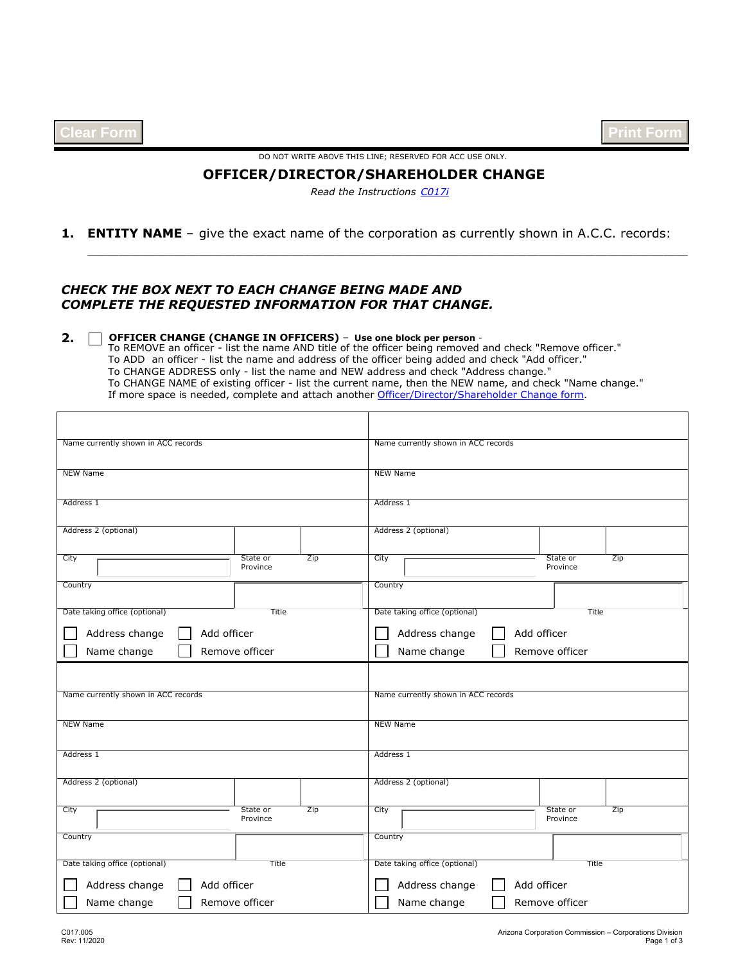| <b>Clear Form</b> |  |  |
|-------------------|--|--|
|-------------------|--|--|

DO NOT WRITE ABOVE THIS LINE; RESERVED FOR ACC USE ONLY.

## **OFFICER/DIRECTOR/SHAREHOLDER CHANGE**

*[C017i](http://www.azcc.gov/Divisions/Corporations/forms/starpas/instructionsSTPS/C017i-Instructions-Officer-Director-Shareholder-Change-STPS.pdf)  Read the Instructions*

\_\_\_\_\_\_\_\_\_\_\_\_\_\_\_\_\_\_\_\_\_\_\_\_\_\_\_\_\_\_\_\_\_\_\_\_\_\_\_\_\_\_\_\_\_\_\_\_\_\_\_\_\_\_\_\_\_\_\_\_\_\_\_\_\_\_\_\_\_\_\_\_\_\_\_\_\_\_\_\_\_\_\_\_\_\_\_\_\_\_\_\_\_\_\_\_\_

## **1. ENTITY NAME** – give the exact name of the corporation as currently shown in A.C.C. records:

## *CHECK THE BOX NEXT TO EACH CHANGE BEING MADE AND COMPLETE THE REQUESTED INFORMATION FOR THAT CHANGE.*

## **2. OFFICER CHANGE (CHANGE IN OFFICERS)** – **Use one block per person** -

To REMOVE an officer - list the name AND title of the officer being removed and check "Remove officer." To ADD an officer - list the name and address of the officer being added and check "Add officer." To CHANGE ADDRESS only - list the name and NEW address and check "Address change." To CHANGE NAME of existing officer - list the current name, then the NEW name, and check "Name change." If more space is needed, complete and attach another [Officer/Director/Shareholder Change form.](http://www.azcc.gov/Divisions/Corporations/forms/starpas/formsSTPS/C017-Officer-Director-Shareholder-Change.pdf?d=850)

| Name currently shown in ACC records                             | Name currently shown in ACC records                             |
|-----------------------------------------------------------------|-----------------------------------------------------------------|
| <b>NEW Name</b>                                                 | <b>NEW Name</b>                                                 |
| Address 1                                                       | Address 1                                                       |
| Address 2 (optional)                                            | Address 2 (optional)                                            |
| City<br>State or<br>Zip<br>$\blacktriangledown$<br>Province     | City<br>State or<br>Zip<br>$\overline{\phantom{a}}$<br>Province |
| Country<br>$\blacktriangledown$                                 | Country                                                         |
| Date taking office (optional)<br>Title                          | Date taking office (optional)<br>Title                          |
| Address change<br>Add officer                                   | Add officer<br>Address change                                   |
| Name change<br>Remove officer                                   | Name change<br>Remove officer                                   |
|                                                                 |                                                                 |
| Name currently shown in ACC records                             | Name currently shown in ACC records                             |
| <b>NEW Name</b>                                                 | <b>NEW Name</b>                                                 |
| Address 1                                                       | Address 1                                                       |
| Address 2 (optional)                                            | Address 2 (optional)                                            |
| Zip<br>City<br>State or<br>$\overline{\phantom{0}}$<br>Province | Zip<br>State or<br>City<br>$\overline{\phantom{0}}$<br>Province |
| Country<br>$\blacktriangledown$                                 | Country<br>$\blacktriangledown$                                 |
| Date taking office (optional)<br>Title                          | Date taking office (optional)<br>Title                          |
| Address change<br>Add officer                                   | Address change<br>Add officer                                   |
| Remove officer<br>Name change                                   | Name change<br>Remove officer                                   |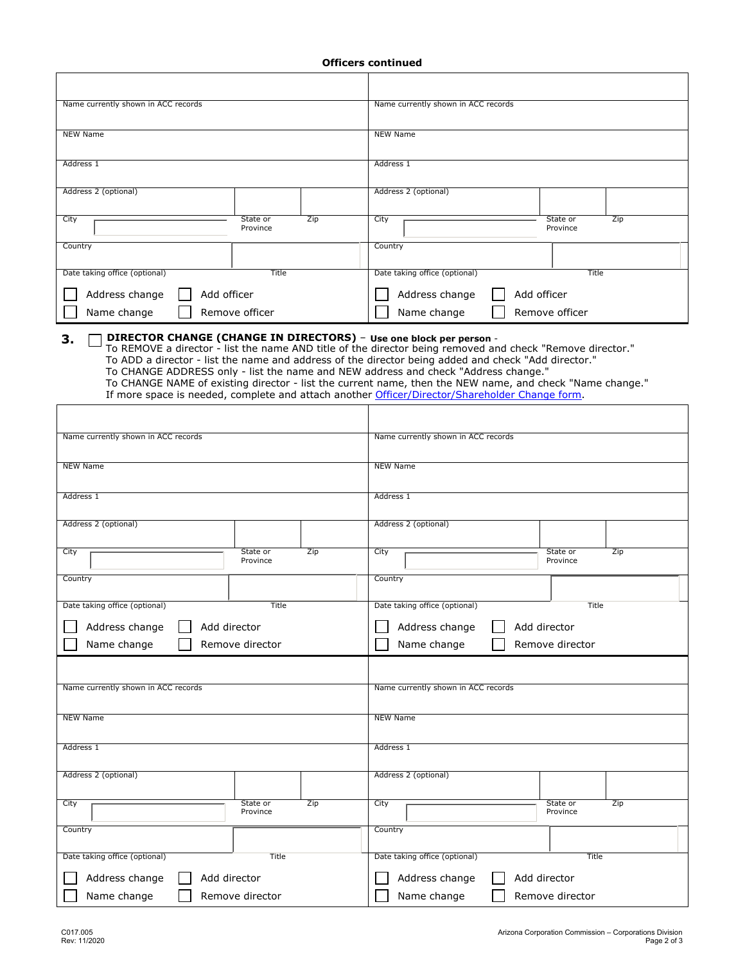| <b>Officers continued</b> |
|---------------------------|
|                           |

| Name currently shown in ACC records                                                                                                                                                                                                                                   | Name currently shown in ACC records                                                                       |
|-----------------------------------------------------------------------------------------------------------------------------------------------------------------------------------------------------------------------------------------------------------------------|-----------------------------------------------------------------------------------------------------------|
| NEW Name                                                                                                                                                                                                                                                              | NEW Name                                                                                                  |
| Address 1                                                                                                                                                                                                                                                             | Address 1                                                                                                 |
| Address 2 (optional)                                                                                                                                                                                                                                                  | Address 2 (optional)                                                                                      |
| City<br>Zip<br>State or<br>Province                                                                                                                                                                                                                                   | State or<br>Zip<br>City<br>Province                                                                       |
| Country                                                                                                                                                                                                                                                               | Country                                                                                                   |
| Title<br>Date taking office (optional)                                                                                                                                                                                                                                | Date taking office (optional)<br><b>Title</b>                                                             |
| Address change<br>Add officer                                                                                                                                                                                                                                         | Address change<br>Add officer                                                                             |
| Name change<br>Remove officer                                                                                                                                                                                                                                         | Remove officer<br>Name change                                                                             |
| DIRECTOR CHANGE (CHANGE IN DIRECTORS) - Use one block per person -<br>З.<br>To ADD a director - list the name and address of the director being added and check "Add director."<br>To CHANGE ADDRESS only - list the name and NEW address and check "Address change." | To REMOVE a director - list the name AND title of the director being removed and check "Remove director." |

To CHANGE NAME of existing director - list the current name, then the NEW name, and check "Name change." If more space is needed, complete and attach another [Officer/Director/Shareholder Change form](http://www.azcc.gov/Divisions/Corporations/forms/starpas/formsSTPS/C017-Officer-Director-Shareholder-Change.pdf?d=850).

| Name currently shown in ACC records |                             | Name currently shown in ACC records    |                             |  |  |  |
|-------------------------------------|-----------------------------|----------------------------------------|-----------------------------|--|--|--|
| <b>NEW Name</b>                     |                             | <b>NEW Name</b>                        |                             |  |  |  |
| Address 1                           |                             | Address 1                              |                             |  |  |  |
| Address 2 (optional)                |                             | Address 2 (optional)                   |                             |  |  |  |
| City<br>$\vert \textbf{v} \vert$    | State or<br>Zip<br>Province | City<br>$\blacktriangledown$           | State or<br>Zip<br>Province |  |  |  |
| Country                             | ▼                           | Country                                |                             |  |  |  |
| Date taking office (optional)       | Title                       | Date taking office (optional)<br>Title |                             |  |  |  |
| Address change<br>Add director      |                             | Address change                         | Add director                |  |  |  |
| Name change                         | Remove director             | Name change<br>Remove director         |                             |  |  |  |
|                                     |                             |                                        |                             |  |  |  |
| Name currently shown in ACC records |                             | Name currently shown in ACC records    |                             |  |  |  |
| NEW Name                            |                             | <b>NEW Name</b>                        |                             |  |  |  |
| Address 1                           |                             | Address 1                              |                             |  |  |  |
| Address 2 (optional)                |                             | Address 2 (optional)                   |                             |  |  |  |
| City<br>$\overline{\phantom{a}}$    | State or<br>Zip<br>Province | City<br>$\blacktriangledown$           | State or<br>Zip<br>Province |  |  |  |
| Country                             | $\blacktriangledown$        | Country                                |                             |  |  |  |
| Date taking office (optional)       | Title                       | Date taking office (optional)          | Title                       |  |  |  |
| Address change<br>Add director      |                             | Address change                         | Add director                |  |  |  |
| Name change                         | Remove director             | Name change<br>Remove director         |                             |  |  |  |